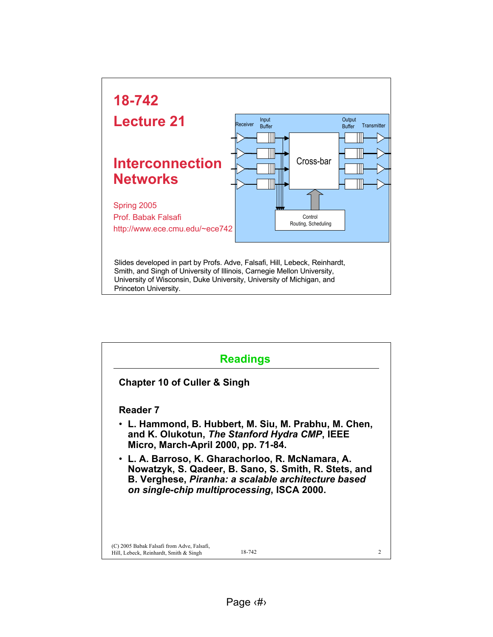

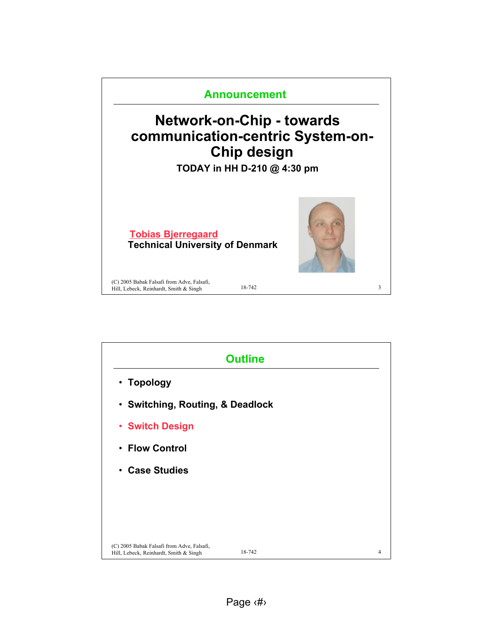

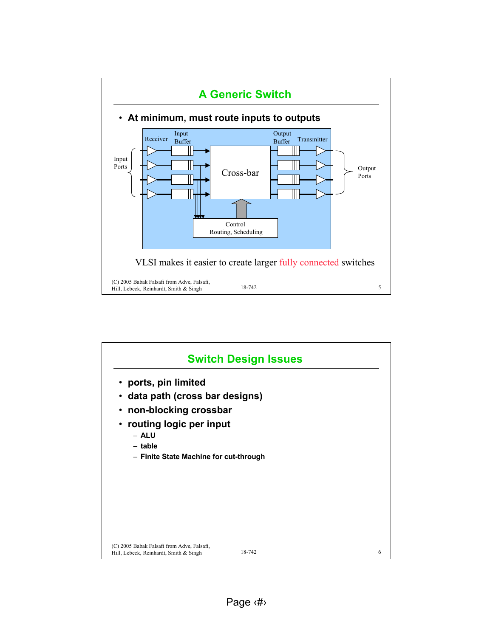

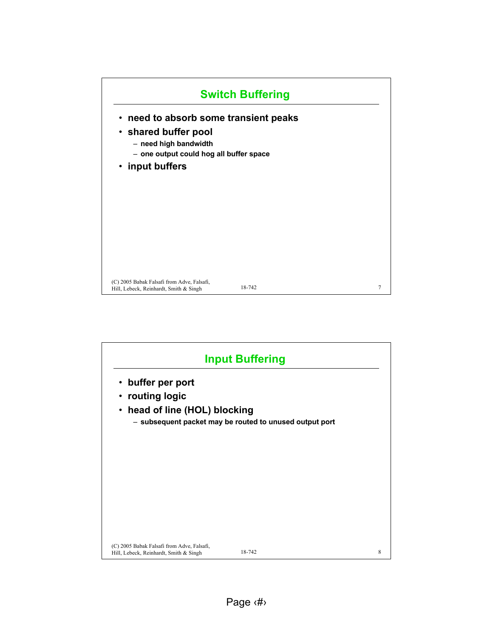

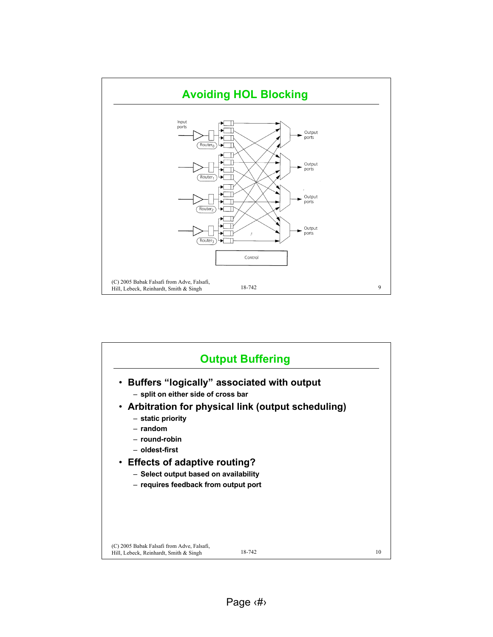

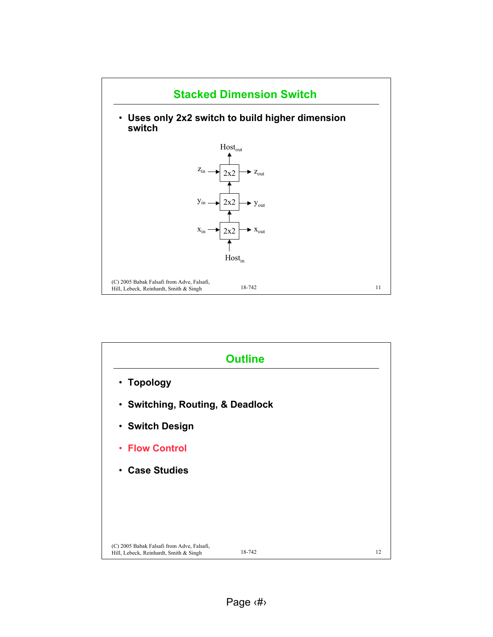

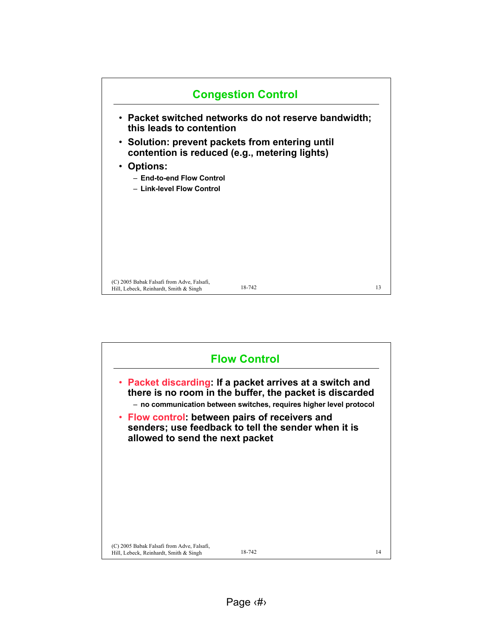

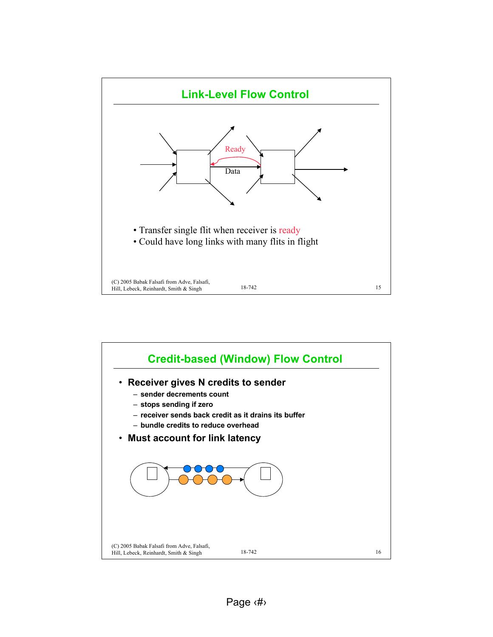

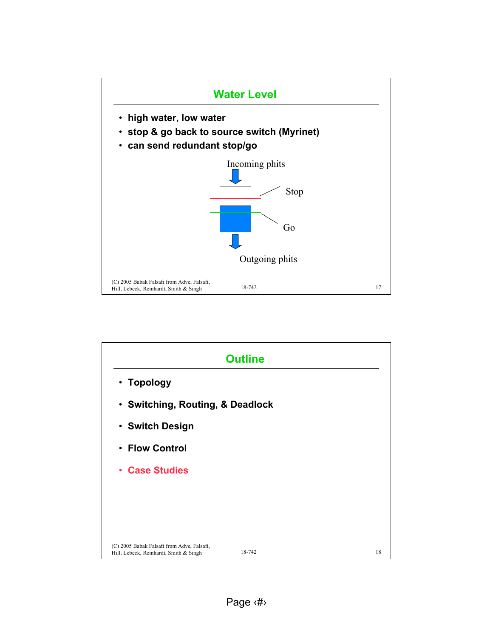

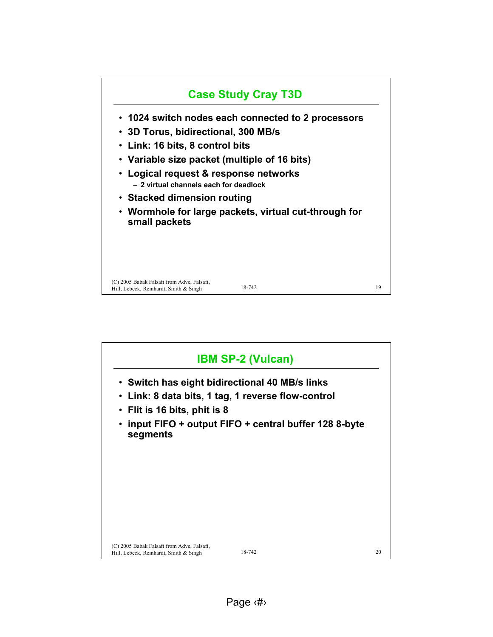

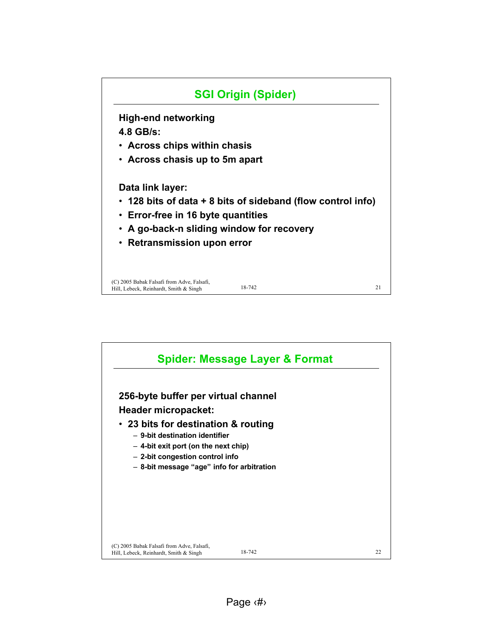

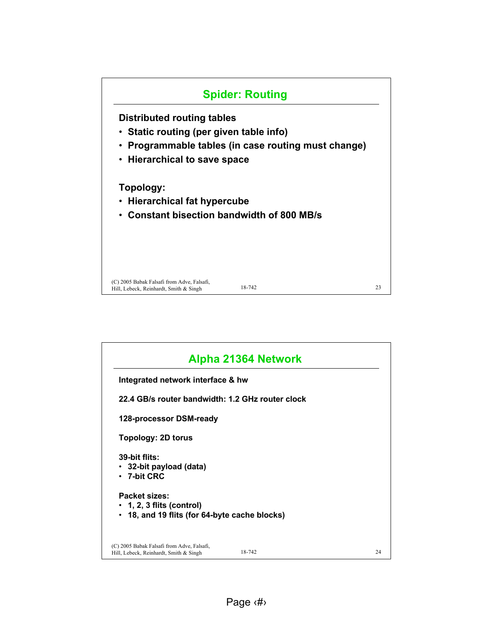

| Integrated network interface & hw                |  |
|--------------------------------------------------|--|
| 22.4 GB/s router bandwidth: 1.2 GHz router clock |  |
| 128-processor DSM-ready                          |  |
| Topology: 2D torus                               |  |
| 39-bit flits:<br>• 32-bit payload (data)         |  |
| $\cdot$ 7-bit CRC                                |  |
| Packet sizes:                                    |  |
| $\cdot$ 1, 2, 3 flits (control)                  |  |
| • 18, and 19 flits (for 64-byte cache blocks)    |  |